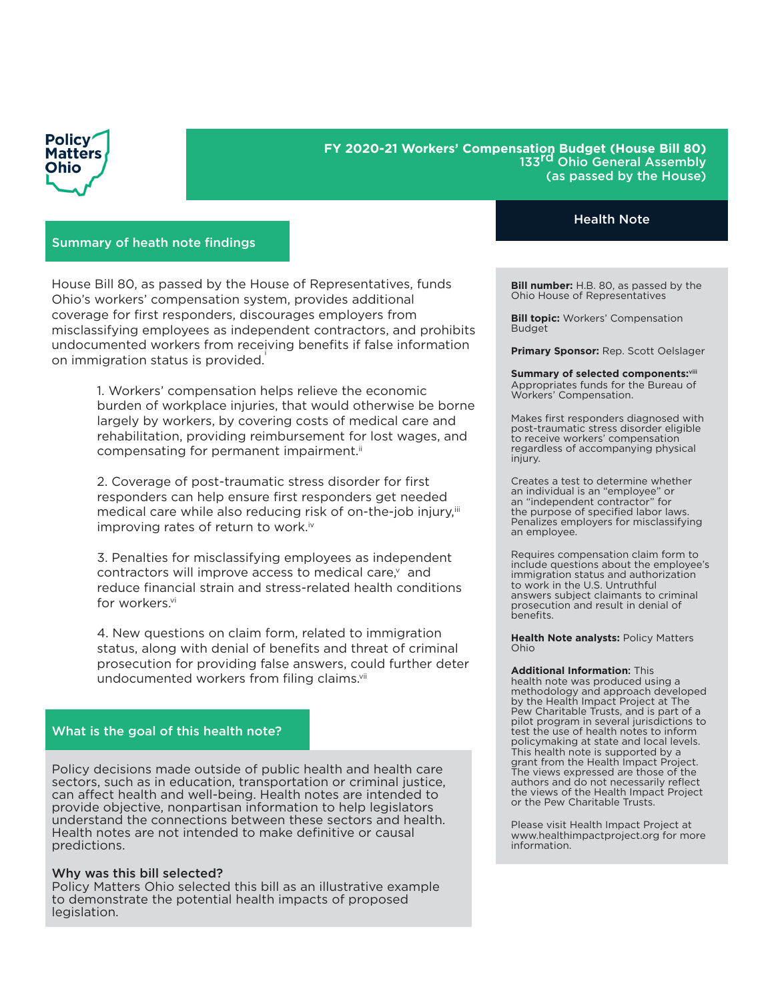

# **FY 2020-21 Workers' Compensation Budget (House Bill 80)**  133<sup>rd</sup> Ohio General Assembly (as passed by the House)

## Summary of heath note findings

House Bill 80, as passed by the House of Representatives, funds Ohio's workers' compensation system, provides additional coverage for first responders, discourages employers from misclassifying employees as independent contractors, and prohibits undocumented workers from receiving benefits if false information on immigration status is provided.

> 1. Workers' compensation helps relieve the economic burden of workplace injuries, that would otherwise be borne largely by workers, by covering costs of medical care and rehabilitation, providing reimbursement for lost wages, and compensating for permanent impairment.<sup>ii</sup>

2. Coverage of post-traumatic stress disorder for first responders can help ensure first responders get needed medical care while also reducing risk of on-the-job injury,iii improving rates of return to work.<sup>iv</sup>

3. Penalties for misclassifying employees as independent contractors will improve access to medical care.<sup>v</sup> and reduce financial strain and stress-related health conditions for workers.vi

4. New questions on claim form, related to immigration status, along with denial of benefits and threat of criminal prosecution for providing false answers, could further deter undocumented workers from filing claims.<sup>vii</sup>

#### What is the goal of this health note?

Policy decisions made outside of public health and health care sectors, such as in education, transportation or criminal justice, can affect health and well-being. Health notes are intended to provide objective, nonpartisan information to help legislators understand the connections between these sectors and health. Health notes are not intended to make definitive or causal predictions.

#### Why was this bill selected?

Policy Matters Ohio selected this bill as an illustrative example to demonstrate the potential health impacts of proposed legislation.

## Health Note

**Bill number:** H.B. 80, as passed by the Ohio House of Representatives

**Bill topic:** Workers' Compensation Budget

**Primary Sponsor:** Rep. Scott Oelslager

**Summary of selected components:**viii Appropriates funds for the Bureau of Workers' Compensation.

Makes first responders diagnosed with post-traumatic stress disorder eligible to receive workers' compensation regardless of accompanying physical injury.

Creates a test to determine whether an individual is an "employee" or an "independent contractor" for the purpose of specified labor laws. Penalizes employers for misclassifying an employee.

Requires compensation claim form to include questions about the employee's immigration status and authorization to work in the U.S. Untruthful answers subject claimants to criminal prosecution and result in denial of benefits.

**Health Note analysts:** Policy Matters Ohio

**Additional Information**: This health note was produced using a methodology and approach developed by the Health Impact Project at The Pew Charitable Trusts, and is part of a pilot program in several jurisdictions to test the use of health notes to inform policymaking at state and local levels. This health note is supported by a grant from the Health Impact Project. The views expressed are those of the authors and do not necessarily reflect

Please visit Health Impact Project at www.healthimpactproject.org for more information.

the views of the Health Impact Project

or the Pew Charitable Trusts.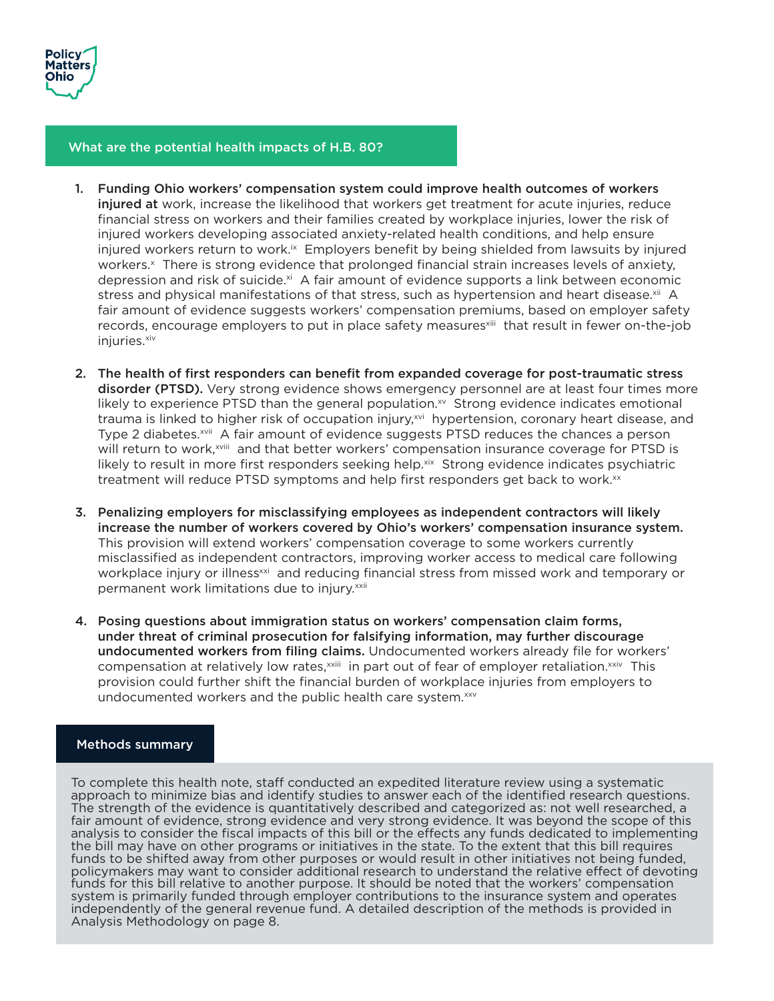

## What are the potential health impacts of H.B. 80?

- 1. Funding Ohio workers' compensation system could improve health outcomes of workers injured at work, increase the likelihood that workers get treatment for acute injuries, reduce financial stress on workers and their families created by workplace injuries, lower the risk of injured workers developing associated anxiety-related health conditions, and help ensure injured workers return to work. $\mathbb{R}^{\infty}$  Employers benefit by being shielded from lawsuits by injured workers.<sup>x</sup> There is strong evidence that prolonged financial strain increases levels of anxiety, depression and risk of suicide. $x<sup>i</sup>$  A fair amount of evidence supports a link between economic stress and physical manifestations of that stress, such as hypertension and heart disease.<sup>xii</sup> A fair amount of evidence suggests workers' compensation premiums, based on employer safety records, encourage employers to put in place safety measures<sup>xiii</sup> that result in fewer on-the-job iniuries.<sup>xiv</sup>
- 2. The health of first responders can benefit from expanded coverage for post-traumatic stress disorder (PTSD). Very strong evidence shows emergency personnel are at least four times more likely to experience PTSD than the general population. $x<sub>v</sub>$  Strong evidence indicates emotional trauma is linked to higher risk of occupation injury,<sup>xvi</sup> hypertension, coronary heart disease, and Type 2 diabetes.<sup>xvii</sup> A fair amount of evidence suggests PTSD reduces the chances a person will return to work,<sup>xviii</sup> and that better workers' compensation insurance coverage for PTSD is likely to result in more first responders seeking help.<sup>xix</sup> Strong evidence indicates psychiatric treatment will reduce PTSD symptoms and help first responders get back to work.<sup>xx</sup>
- 3. Penalizing employers for misclassifying employees as independent contractors will likely increase the number of workers covered by Ohio's workers' compensation insurance system. This provision will extend workers' compensation coverage to some workers currently misclassified as independent contractors, improving worker access to medical care following workplace injury or illness<sup>xxi</sup> and reducing financial stress from missed work and temporary or permanent work limitations due to injury.<sup>xxii</sup>
- 4. Posing questions about immigration status on workers' compensation claim forms, under threat of criminal prosecution for falsifying information, may further discourage undocumented workers from filing claims. Undocumented workers already file for workers' compensation at relatively low rates, xxiii in part out of fear of employer retaliation. xxiv This provision could further shift the financial burden of workplace injuries from employers to undocumented workers and the public health care system.<sup>xxv</sup>

## Methods summary

To complete this health note, staff conducted an expedited literature review using a systematic approach to minimize bias and identify studies to answer each of the identified research questions. The strength of the evidence is quantitatively described and categorized as: not well researched, a fair amount of evidence, strong evidence and very strong evidence. It was beyond the scope of this analysis to consider the fiscal impacts of this bill or the effects any funds dedicated to implementing the bill may have on other programs or initiatives in the state. To the extent that this bill requires funds to be shifted away from other purposes or would result in other initiatives not being funded, policymakers may want to consider additional research to understand the relative effect of devoting funds for this bill relative to another purpose. It should be noted that the workers' compensation system is primarily funded through employer contributions to the insurance system and operates independently of the general revenue fund. A detailed description of the methods is provided in Analysis Methodology on page 8.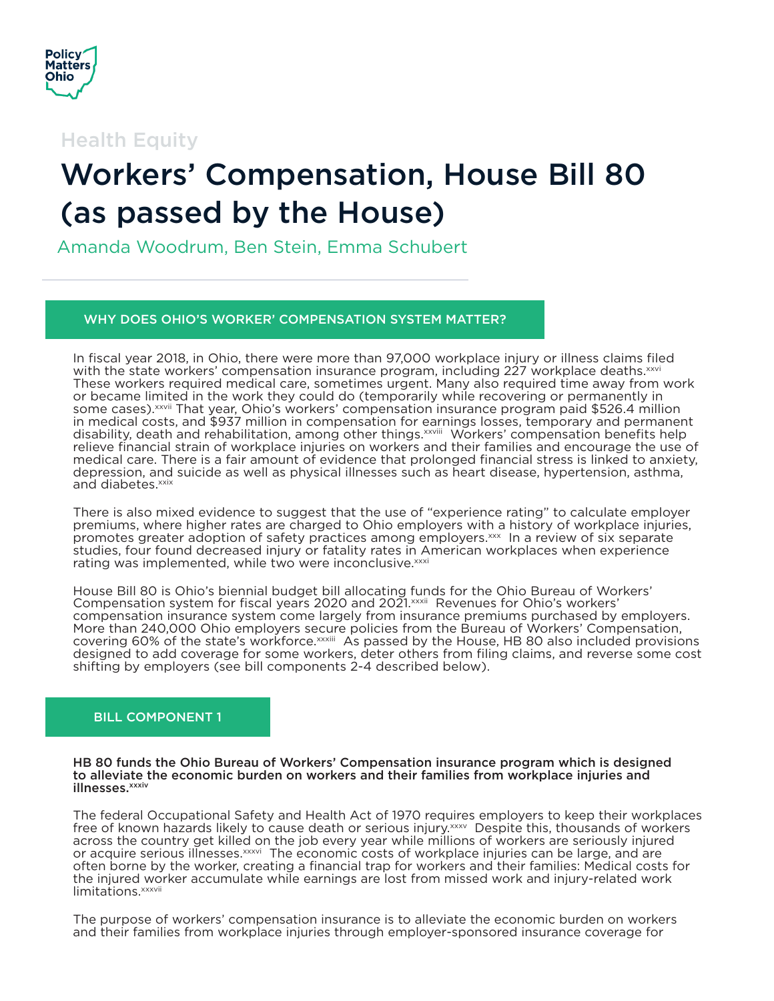

Health Equity

# Workers' Compensation, House Bill 80 (as passed by the House)

Amanda Woodrum, Ben Stein, Emma Schubert

# WHY DOES OHIO'S WORKER' COMPENSATION SYSTEM MATTER?

In fiscal year 2018, in Ohio, there were more than 97,000 workplace injury or illness claims filed with the state workers' compensation insurance program, including 227 workplace deaths. xxvi These workers required medical care, sometimes urgent. Many also required time away from work or became limited in the work they could do (temporarily while recovering or permanently in some cases). xxvii That year, Ohio's workers' compensation insurance program paid \$526.4 million in medical costs, and \$937 million in compensation for earnings losses, temporary and permanent disability, death and rehabilitation, among other things.xxviii Workers' compensation benefits help relieve financial strain of workplace injuries on workers and their families and encourage the use of medical care. There is a fair amount of evidence that prolonged financial stress is linked to anxiety, depression, and suicide as well as physical illnesses such as heart disease, hypertension, asthma, and diabetes.<sup>xxix</sup>

There is also mixed evidence to suggest that the use of "experience rating" to calculate employer premiums, where higher rates are charged to Ohio employers with a history of workplace injuries, promotes greater adoption of safety practices among employers.<sup>xxx</sup> In a review of six separate studies, four found decreased injury or fatality rates in American workplaces when experience rating was implemented, while two were inconclusive. XXXI

House Bill 80 is Ohio's biennial budget bill allocating funds for the Ohio Bureau of Workers' Compensation system for fiscal years 2020 and 2021. XXXII Revenues for Ohio's workers' compensation insurance system come largely from insurance premiums purchased by employers. More than 240,000 Ohio employers secure policies from the Bureau of Workers' Compensation, covering 60% of the state's workforce.xxxiii As passed by the House, HB 80 also included provisions designed to add coverage for some workers, deter others from filing claims, and reverse some cost shifting by employers (see bill components 2-4 described below).

# BILL COMPONENT 1

HB 80 funds the Ohio Bureau of Workers' Compensation insurance program which is designed to alleviate the economic burden on workers and their families from workplace injuries and illnesses.xxxiv

The federal Occupational Safety and Health Act of 1970 requires employers to keep their workplaces free of known hazards likely to cause death or serious injury. *xxxv* Despite this, thousands of workers across the country get killed on the job every year while millions of workers are seriously injured or acquire serious illnesses. xxxvi The economic costs of workplace injuries can be large, and are often borne by the worker, creating a financial trap for workers and their families: Medical costs for the injured worker accumulate while earnings are lost from missed work and injury-related work limitations.<sup>xxxvii</sup>

The purpose of workers' compensation insurance is to alleviate the economic burden on workers and their families from workplace injuries through employer-sponsored insurance coverage for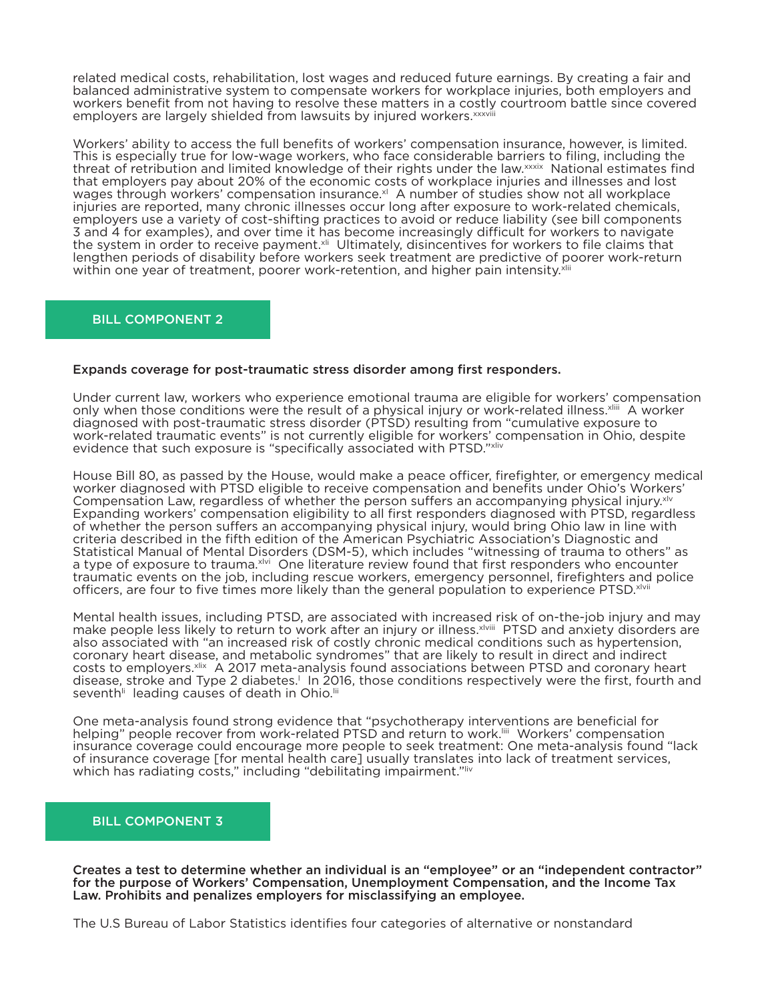related medical costs, rehabilitation, lost wages and reduced future earnings. By creating a fair and balanced administrative system to compensate workers for workplace injuries, both employers and workers benefit from not having to resolve these matters in a costly courtroom battle since covered employers are largely shielded from lawsuits by injured workers.<sup>xxxvii</sup>

Workers' ability to access the full benefits of workers' compensation insurance, however, is limited. This is especially true for low-wage workers, who face considerable barriers to filing, including the threat of retribution and limited knowledge of their rights under the law.xxxix National estimates find that employers pay about 20% of the economic costs of workplace injuries and illnesses and lost wages through workers' compensation insurance. $^{\prime\prime}$  A number of studies show not all workplace injuries are reported, many chronic illnesses occur long after exposure to work-related chemicals, employers use a variety of cost-shifting practices to avoid or reduce liability (see bill components 3 and 4 for examples), and over time it has become increasingly difficult for workers to navigate the system in order to receive payment.<sup>xii</sup> Ultimately, disincentives for workers to file claims that lengthen periods of disability before workers seek treatment are predictive of poorer work-return within one year of treatment, poorer work-retention, and higher pain intensity.<sup>xlii</sup>

# BILL COMPONENT 2

## Expands coverage for post-traumatic stress disorder among first responders.

Under current law, workers who experience emotional trauma are eligible for workers' compensation only when those conditions were the result of a physical injury or work-related illness.<sup>xliii</sup> A worker diagnosed with post-traumatic stress disorder (PTSD) resulting from "cumulative exposure to work-related traumatic events" is not currently eligible for workers' compensation in Ohio, despite evidence that such exposure is "specifically associated with PTSD."<sup>xliv</sup>

House Bill 80, as passed by the House, would make a peace officer, firefighter, or emergency medical worker diagnosed with PTSD eligible to receive compensation and benefits under Ohio's Workers' Compensation Law, regardless of whether the person suffers an accompanying physical injury.<sup>xlv</sup> Expanding workers' compensation eligibility to all first responders diagnosed with PTSD, regardless of whether the person suffers an accompanying physical injury, would bring Ohio law in line with criteria described in the fifth edition of the American Psychiatric Association's Diagnostic and Statistical Manual of Mental Disorders (DSM-5), which includes "witnessing of trauma to others" as a type of exposure to trauma.<sup>xivi</sup> One literature review found that first responders who encounter traumatic events on the job, including rescue workers, emergency personnel, firefighters and police officers, are four to five times more likely than the general population to experience PTSD.<sup>xlvii</sup>

Mental health issues, including PTSD, are associated with increased risk of on-the-job injury and may make people less likely to return to work after an injury or illness.<sup>xlviii</sup> PTSD and anxiety disorders are also associated with "an increased risk of costly chronic medical conditions such as hypertension, coronary heart disease, and metabolic syndromes" that are likely to result in direct and indirect costs to employers.xlix A 2017 meta-analysis found associations between PTSD and coronary heart disease, stroke and Type 2 diabetes.<sup>1</sup> In 2016, those conditions respectively were the first, fourth and seventh<sup>ii</sup> leading causes of death in Ohio.<sup>Iii</sup>

One meta-analysis found strong evidence that "psychotherapy interventions are beneficial for helping" people recover from work-related PTSD and return to work.<sup>!!!!</sup> Workers' compensation insurance coverage could encourage more people to seek treatment: One meta-analysis found "lack of insurance coverage [for mental health care] usually translates into lack of treatment services, which has radiating costs," including "debilitating impairment."liv

## BILL COMPONENT 3

Creates a test to determine whether an individual is an "employee" or an "independent contractor" for the purpose of Workers' Compensation, Unemployment Compensation, and the Income Tax Law. Prohibits and penalizes employers for misclassifying an employee.

The U.S Bureau of Labor Statistics identifies four categories of alternative or nonstandard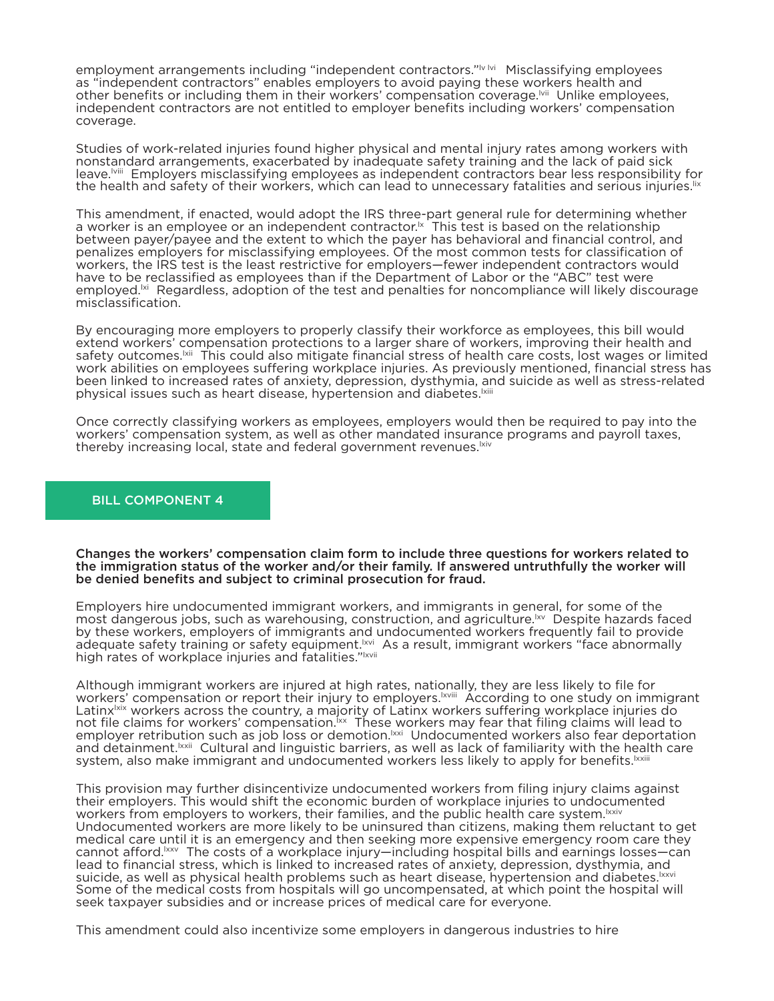employment arrangements including "independent contractors."<sup>Iv Ivi</sup> Misclassifying employees as "independent contractors" enables employers to avoid paying these workers health and other benefits or including them in their workers' compensation coverage.<sup>[vi]</sup> Unlike employees, independent contractors are not entitled to employer benefits including workers' compensation coverage.

Studies of work-related injuries found higher physical and mental injury rates among workers with nonstandard arrangements, exacerbated by inadequate safety training and the lack of paid sick leave.lviii Employers misclassifying employees as independent contractors bear less responsibility for the health and safety of their workers, which can lead to unnecessary fatalities and serious injuries.<sup>[1</sup>]

This amendment, if enacted, would adopt the IRS three-part general rule for determining whether a worker is an employee or an independent contractor.<sup>1x</sup> This test is based on the relationship between payer/payee and the extent to which the payer has behavioral and financial control, and penalizes employers for misclassifying employees. Of the most common tests for classification of workers, the IRS test is the least restrictive for employers—fewer independent contractors would have to be reclassified as employees than if the Department of Labor or the "ABC" test were employed.<sup>|xi</sup> Regardless, adoption of the test and penalties for noncompliance will likely discourage misclassification.

By encouraging more employers to properly classify their workforce as employees, this bill would extend workers' compensation protections to a larger share of workers, improving their health and safety outcomes.<sup>[xii</sup> This could also mitigate financial stress of health care costs, lost wages or limited work abilities on employees suffering workplace injuries. As previously mentioned, financial stress has been linked to increased rates of anxiety, depression, dysthymia, and suicide as well as stress-related physical issues such as heart disease, hypertension and diabetes.<sup>Ixiii</sup>

Once correctly classifying workers as employees, employers would then be required to pay into the workers' compensation system, as well as other mandated insurance programs and payroll taxes, thereby increasing local, state and federal government revenues.<sup>[xiv</sup>]

# BILL COMPONENT 4

Changes the workers' compensation claim form to include three questions for workers related to the immigration status of the worker and/or their family. If answered untruthfully the worker will be denied benefits and subject to criminal prosecution for fraud.

Employers hire undocumented immigrant workers, and immigrants in general, for some of the most dangerous jobs, such as warehousing, construction, and agriculture.<sup>1xv</sup> Despite hazards faced by these workers, employers of immigrants and undocumented workers frequently fail to provide adequate safety training or safety equipment.<sup>Ixvi</sup> As a result, immigrant workers "face abnormally high rates of workplace injuries and fatalities."<sup>Ixvii</sup>

Although immigrant workers are injured at high rates, nationally, they are less likely to file for workers' compensation or report their injury to employers.lxviii According to one study on immigrant Latinx<sup>Ixix</sup> workers across the country, a majority of Latinx workers suffering workplace injuries do not file claims for workers' compensation.<sup>[xx</sup> These workers may fear that filing claims will lead to employer retribution such as job loss or demotion.<sup>|xxi</sup> Undocumented workers also fear deportation and detainment.<sup>Ixxii</sup> Cultural and linguistic barriers, as well as lack of familiarity with the health care system, also make immigrant and undocumented workers less likely to apply for benefits.<sup>[xxiii</sup>

This provision may further disincentivize undocumented workers from filing injury claims against their employers. This would shift the economic burden of workplace injuries to undocumented workers from employers to workers, their families, and the public health care system.<sup>Ixxiv</sup> Undocumented workers are more likely to be uninsured than citizens, making them reluctant to get medical care until it is an emergency and then seeking more expensive emergency room care they cannot afford.<sup>Ixxv</sup> The costs of a workplace injury—including hospital bills and earnings losses—can lead to financial stress, which is linked to increased rates of anxiety, depression, dysthymia, and<br>suicide, as well as physical health problems such as heart disease, hypertension and diabetes. [xxvi Some of the medical costs from hospitals will go uncompensated, at which point the hospital will seek taxpayer subsidies and or increase prices of medical care for everyone.

This amendment could also incentivize some employers in dangerous industries to hire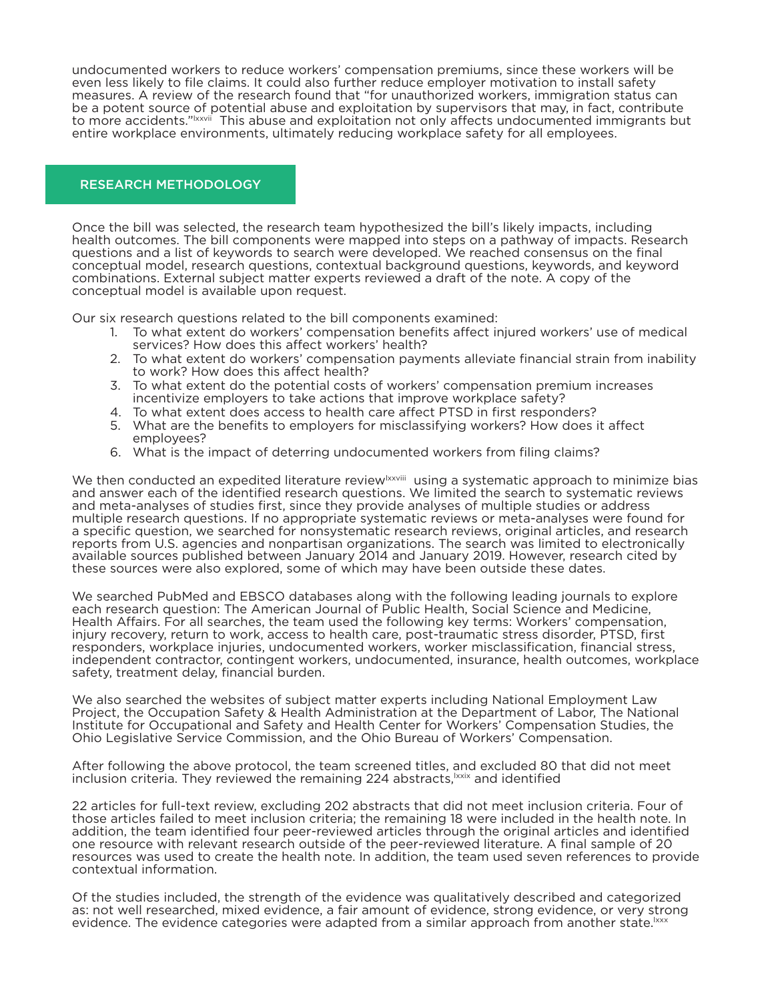undocumented workers to reduce workers' compensation premiums, since these workers will be even less likely to file claims. It could also further reduce employer motivation to install safety measures. A review of the research found that "for unauthorized workers, immigration status can be a potent source of potential abuse and exploitation by supervisors that may, in fact, contribute to more accidents."Ixxvii This abuse and exploitation not only affects undocumented immigrants but entire workplace environments, ultimately reducing workplace safety for all employees.

# RESEARCH METHODOLOGY

Once the bill was selected, the research team hypothesized the bill's likely impacts, including health outcomes. The bill components were mapped into steps on a pathway of impacts. Research questions and a list of keywords to search were developed. We reached consensus on the final conceptual model, research questions, contextual background questions, keywords, and keyword combinations. External subject matter experts reviewed a draft of the note. A copy of the conceptual model is available upon request.

Our six research questions related to the bill components examined:

- 1. To what extent do workers' compensation benefits affect injured workers' use of medical services? How does this affect workers' health?
- 2. To what extent do workers' compensation payments alleviate financial strain from inability to work? How does this affect health?
- 3. To what extent do the potential costs of workers' compensation premium increases incentivize employers to take actions that improve workplace safety?
- 4. To what extent does access to health care affect PTSD in first responders?
- 5. What are the benefits to employers for misclassifying workers? How does it affect employees?
- 6. What is the impact of deterring undocumented workers from filing claims?

We then conducted an expedited literature review<sup>lxxviii</sup> using a systematic approach to minimize bias and answer each of the identified research questions. We limited the search to systematic reviews and meta-analyses of studies first, since they provide analyses of multiple studies or address multiple research questions. If no appropriate systematic reviews or meta-analyses were found for a specific question, we searched for nonsystematic research reviews, original articles, and research reports from U.S. agencies and nonpartisan organizations. The search was limited to electronically available sources published between January 2014 and January 2019. However, research cited by these sources were also explored, some of which may have been outside these dates.

We searched PubMed and EBSCO databases along with the following leading journals to explore each research question: The American Journal of Public Health, Social Science and Medicine, Health Affairs. For all searches, the team used the following key terms: Workers' compensation, injury recovery, return to work, access to health care, post-traumatic stress disorder, PTSD, first responders, workplace injuries, undocumented workers, worker misclassification, financial stress, independent contractor, contingent workers, undocumented, insurance, health outcomes, workplace safety, treatment delay, financial burden.

We also searched the websites of subject matter experts including National Employment Law Project, the Occupation Safety & Health Administration at the Department of Labor, The National Institute for Occupational and Safety and Health Center for Workers' Compensation Studies, the Ohio Legislative Service Commission, and the Ohio Bureau of Workers' Compensation.

After following the above protocol, the team screened titles, and excluded 80 that did not meet inclusion criteria. They reviewed the remaining 224 abstracts, xxix and identified

22 articles for full-text review, excluding 202 abstracts that did not meet inclusion criteria. Four of those articles failed to meet inclusion criteria; the remaining 18 were included in the health note. In addition, the team identified four peer-reviewed articles through the original articles and identified one resource with relevant research outside of the peer-reviewed literature. A final sample of 20 resources was used to create the health note. In addition, the team used seven references to provide contextual information.

Of the studies included, the strength of the evidence was qualitatively described and categorized as: not well researched, mixed evidence, a fair amount of evidence, strong evidence, or very strong evidence. The evidence categories were adapted from a similar approach from another state.<sup>lxxx</sup>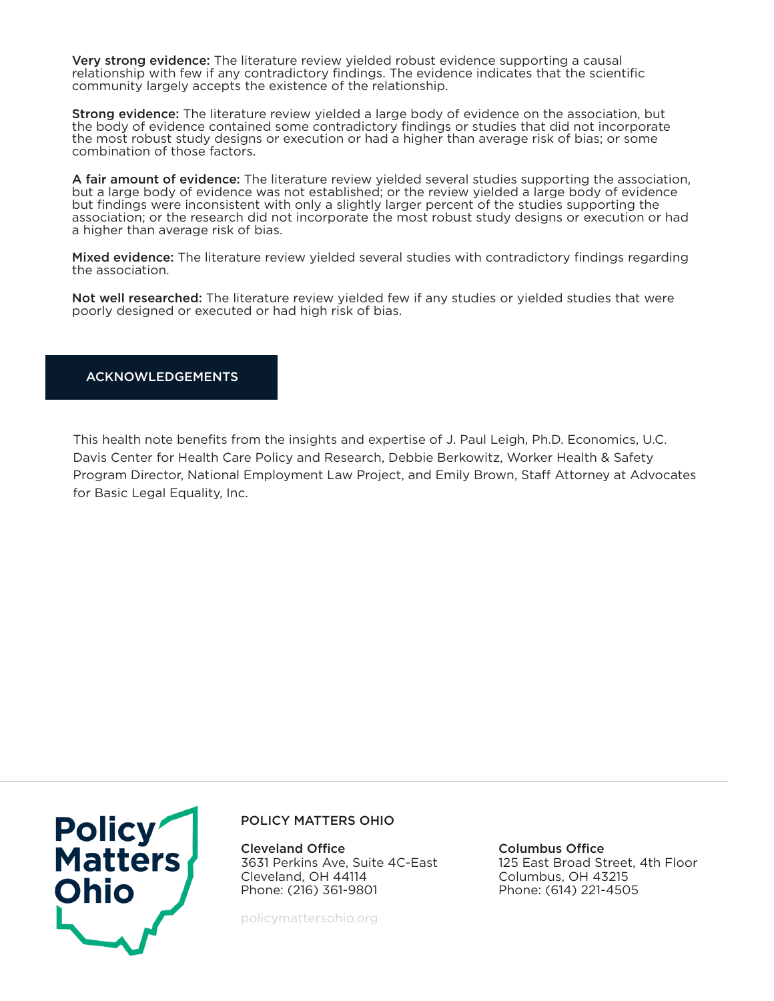Very strong evidence: The literature review yielded robust evidence supporting a causal relationship with few if any contradictory findings. The evidence indicates that the scientific community largely accepts the existence of the relationship.

Strong evidence: The literature review yielded a large body of evidence on the association, but the body of evidence contained some contradictory findings or studies that did not incorporate the most robust study designs or execution or had a higher than average risk of bias; or some combination of those factors.

A fair amount of evidence: The literature review yielded several studies supporting the association, but a large body of evidence was not established; or the review yielded a large body of evidence but findings were inconsistent with only a slightly larger percent of the studies supporting the association; or the research did not incorporate the most robust study designs or execution or had a higher than average risk of bias.

Mixed evidence: The literature review yielded several studies with contradictory findings regarding the association.

Not well researched: The literature review yielded few if any studies or yielded studies that were poorly designed or executed or had high risk of bias.

## ACKNOWLEDGEMENTS

This health note benefits from the insights and expertise of J. Paul Leigh, Ph.D. Economics, U.C. Davis Center for Health Care Policy and Research, Debbie Berkowitz, Worker Health & Safety Program Director, National Employment Law Project, and Emily Brown, Staff Attorney at Advocates for Basic Legal Equality, Inc.



## POLICY MATTERS OHIO

Cleveland Office 3631 Perkins Ave, Suite 4C-East Cleveland, OH 44114 Phone: (216) 361-9801

policymattersohio.org

Columbus Office 125 East Broad Street, 4th Floor Columbus, OH 43215 Phone: (614) 221-4505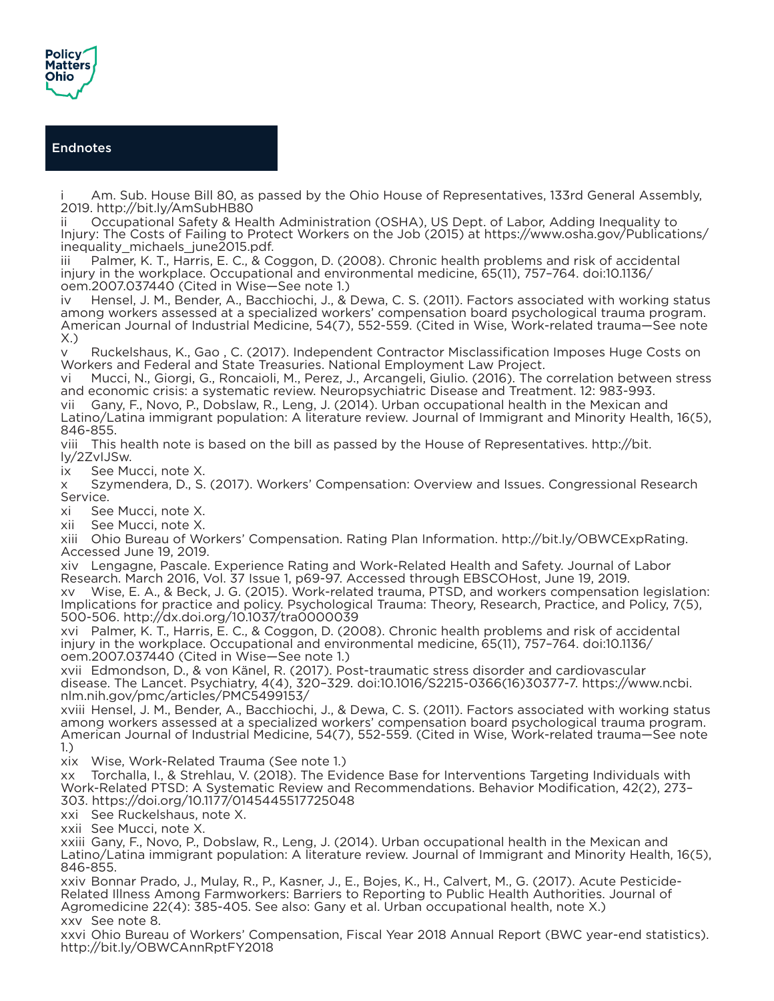

# Endnotes

Am. Sub. House Bill 80, as passed by the Ohio House of Representatives, 133rd General Assembly, 2019. http://bit.ly/AmSubHB80

ii Occupational Safety & Health Administration (OSHA), US Dept. of Labor, Adding Inequality to Injury: The Costs of Failing to Protect Workers on the Job (2015) at https://www.osha.gov/Publications/ inequality\_michaels\_june2015.pdf.

iii Palmer, K. T., Harris, E. C., & Coggon, D. (2008). Chronic health problems and risk of accidental injury in the workplace. Occupational and environmental medicine, 65(11), 757–764. doi:10.1136/ oem.2007.037440 (Cited in Wise—See note 1.)

iv Hensel, J. M., Bender, A., Bacchiochi, J., & Dewa, C. S. (2011). Factors associated with working status among workers assessed at a specialized workers' compensation board psychological trauma program. American Journal of Industrial Medicine, 54(7), 552-559. (Cited in Wise, Work-related trauma—See note X.)

v Ruckelshaus, K., Gao , C. (2017). Independent Contractor Misclassification Imposes Huge Costs on Workers and Federal and State Treasuries. National Employment Law Project.

vi Mucci, N., Giorgi, G., Roncaioli, M., Perez, J., Arcangeli, Giulio. (2016). The correlation between stress and economic crisis: a systematic review. Neuropsychiatric Disease and Treatment. 12: 983-993. vii Gany, F., Novo, P., Dobslaw, R., Leng, J. (2014). Urban occupational health in the Mexican and Latino/Latina immigrant population: A literature review. Journal of Immigrant and Minority Health, 16(5), 846-855.

viii This health note is based on the bill as passed by the House of Representatives. http://bit. ly/2ZvIJSw.

ix See Mucci, note X.

x Szymendera, D., S. (2017). Workers' Compensation: Overview and Issues. Congressional Research Service.

xi See Mucci, note X.

xii See Mucci, note X.

xiii Ohio Bureau of Workers' Compensation. Rating Plan Information. http://bit.ly/OBWCExpRating. Accessed June 19, 2019.

xiv Lengagne, Pascale. Experience Rating and Work-Related Health and Safety. Journal of Labor Research. March 2016, Vol. 37 Issue 1, p69-97. Accessed through EBSCOHost, June 19, 2019. xv Wise, E. A., & Beck, J. G. (2015). Work-related trauma, PTSD, and workers compensation legislation: Implications for practice and policy. Psychological Trauma: Theory, Research, Practice, and Policy, 7(5), 500-506. http://dx.doi.org/10.1037/tra0000039

xvi Palmer, K. T., Harris, E. C., & Coggon, D. (2008). Chronic health problems and risk of accidental injury in the workplace. Occupational and environmental medicine, 65(11), 757–764. doi:10.1136/ oem.2007.037440 (Cited in Wise—See note 1.)

xvii Edmondson, D., & von Känel, R. (2017). Post-traumatic stress disorder and cardiovascular disease. The Lancet. Psychiatry, 4(4), 320–329. doi:10.1016/S2215-0366(16)30377-7. https://www.ncbi. nlm.nih.gov/pmc/articles/PMC5499153/

xviii Hensel, J. M., Bender, A., Bacchiochi, J., & Dewa, C. S. (2011). Factors associated with working status among workers assessed at a specialized workers' compensation board psychological trauma program. American Journal of Industrial Medicine, 54(7), 552-559. (Cited in Wise, Work-related trauma—See note 1.)

xix Wise, Work-Related Trauma (See note 1.)

xx Torchalla, I., & Strehlau, V. (2018). The Evidence Base for Interventions Targeting Individuals with Work-Related PTSD: A Systematic Review and Recommendations. Behavior Modification, 42(2), 273– 303. https://doi.org/10.1177/0145445517725048

xxi See Ruckelshaus, note X.

xxii See Mucci, note X.

xxiii Gany, F., Novo, P., Dobslaw, R., Leng, J. (2014). Urban occupational health in the Mexican and Latino/Latina immigrant population: A literature review. Journal of Immigrant and Minority Health, 16(5), 846-855.

xxiv Bonnar Prado, J., Mulay, R., P., Kasner, J., E., Bojes, K., H., Calvert, M., G. (2017). Acute Pesticide-Related Illness Among Farmworkers: Barriers to Reporting to Public Health Authorities. Journal of Agromedicine 22(4): 385-405. See also: Gany et al. Urban occupational health, note X.) xxv See note 8.

xxvi Ohio Bureau of Workers' Compensation, Fiscal Year 2018 Annual Report (BWC year-end statistics). http://bit.ly/OBWCAnnRptFY2018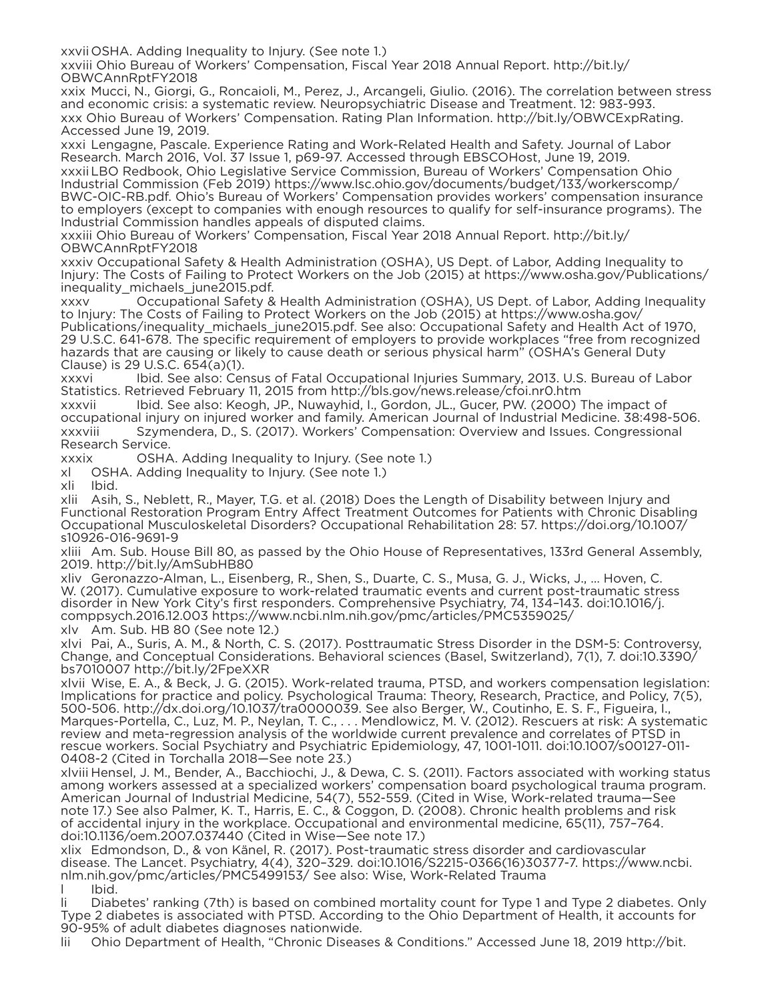xxvii OSHA. Adding Inequality to Injury. (See note 1.)

xxviii Ohio Bureau of Workers' Compensation, Fiscal Year 2018 Annual Report. http://bit.ly/ OBWCAnnRptFY2018

xxix Mucci, N., Giorgi, G., Roncaioli, M., Perez, J., Arcangeli, Giulio. (2016). The correlation between stress and economic crisis: a systematic review. Neuropsychiatric Disease and Treatment. 12: 983-993. xxx Ohio Bureau of Workers' Compensation. Rating Plan Information. http://bit.ly/OBWCExpRating. Accessed June 19, 2019.

xxxi Lengagne, Pascale. Experience Rating and Work-Related Health and Safety. Journal of Labor Research. March 2016, Vol. 37 Issue 1, p69-97. Accessed through EBSCOHost, June 19, 2019. xxxiiLBO Redbook, Ohio Legislative Service Commission, Bureau of Workers' Compensation Ohio Industrial Commission (Feb 2019) https://www.lsc.ohio.gov/documents/budget/133/workerscomp/ BWC-OIC-RB.pdf. Ohio's Bureau of Workers' Compensation provides workers' compensation insurance to employers (except to companies with enough resources to qualify for self-insurance programs). The Industrial Commission handles appeals of disputed claims.

xxxiii Ohio Bureau of Workers' Compensation, Fiscal Year 2018 Annual Report. http://bit.ly/ OBWCAnnRptFY2018

xxxiv Occupational Safety & Health Administration (OSHA), US Dept. of Labor, Adding Inequality to Injury: The Costs of Failing to Protect Workers on the Job (2015) at https://www.osha.gov/Publications/ inequality\_michaels\_june2015.pdf.

xxxv Occupational Safety & Health Administration (OSHA), US Dept. of Labor, Adding Inequality to Injury: The Costs of Failing to Protect Workers on the Job (2015) at https://www.osha.gov/ Publications/inequality\_michaels\_june2015.pdf. See also: Occupational Safety and Health Act of 1970, 29 U.S.C. 641-678. The specific requirement of employers to provide workplaces "free from recognized hazards that are causing or likely to cause death or serious physical harm" (OSHA's General Duty Clause) is 29 U.S.C. 654(a)(1).

xxxvi Ibid. See also: Census of Fatal Occupational Injuries Summary, 2013. U.S. Bureau of Labor Statistics. Retrieved February 11, 2015 from http://bls.gov/news.release/cfoi.nr0.htm

xxxvii Ibid. See also: Keogh, JP., Nuwayhid, I., Gordon, JL., Gucer, PW. (2000) The impact of occupational injury on injured worker and family. American Journal of Industrial Medicine. 38:498-506. xxxviii Szymendera, D., S. (2017). Workers' Compensation: Overview and Issues. Congressional Research Service.

xxxix OSHA. Adding Inequality to Injury. (See note 1.)

xl OSHA. Adding Inequality to Injury. (See note 1.)

xli Ibid.

xlii Asih, S., Neblett, R., Mayer, T.G. et al. (2018) Does the Length of Disability between Injury and Functional Restoration Program Entry Affect Treatment Outcomes for Patients with Chronic Disabling Occupational Musculoskeletal Disorders? Occupational Rehabilitation 28: 57. https://doi.org/10.1007/ s10926-016-9691-9

xliii Am. Sub. House Bill 80, as passed by the Ohio House of Representatives, 133rd General Assembly, 2019. http://bit.ly/AmSubHB80

xliv Geronazzo-Alman, L., Eisenberg, R., Shen, S., Duarte, C. S., Musa, G. J., Wicks, J., … Hoven, C. W. (2017). Cumulative exposure to work-related traumatic events and current post-traumatic stress disorder in New York City's first responders. Comprehensive Psychiatry, 74, 134–143. doi:10.1016/j. comppsych.2016.12.003 https://www.ncbi.nlm.nih.gov/pmc/articles/PMC5359025/ xlv Am. Sub. HB 80 (See note 12.)

xlvi Pai, A., Suris, A. M., & North, C. S. (2017). Posttraumatic Stress Disorder in the DSM-5: Controversy, Change, and Conceptual Considerations. Behavioral sciences (Basel, Switzerland), 7(1), 7. doi:10.3390/ bs7010007 http://bit.ly/2FpeXXR

xlvii Wise, E. A., & Beck, J. G. (2015). Work-related trauma, PTSD, and workers compensation legislation: Implications for practice and policy. Psychological Trauma: Theory, Research, Practice, and Policy, 7(5), 500-506. http://dx.doi.org/10.1037/tra0000039. See also Berger, W., Coutinho, E. S. F., Figueira, I., Marques-Portella, C., Luz, M. P., Neylan, T. C., . . . Mendlowicz, M. V. (2012). Rescuers at risk: A systematic review and meta-regression analysis of the worldwide current prevalence and correlates of PTSD in rescue workers. Social Psychiatry and Psychiatric Epidemiology, 47, 1001-1011. doi:10.1007/s00127-011- 0408-2 (Cited in Torchalla 2018—See note 23.)

xlviii Hensel, J. M., Bender, A., Bacchiochi, J., & Dewa, C. S. (2011). Factors associated with working status among workers assessed at a specialized workers' compensation board psychological trauma program. American Journal of Industrial Medicine, 54(7), 552-559. (Cited in Wise, Work-related trauma—See note 17.) See also Palmer, K. T., Harris, E. C., & Coggon, D. (2008). Chronic health problems and risk of accidental injury in the workplace. Occupational and environmental medicine, 65(11), 757–764. doi:10.1136/oem.2007.037440 (Cited in Wise—See note 17.)

xlix Edmondson, D., & von Känel, R. (2017). Post-traumatic stress disorder and cardiovascular disease. The Lancet. Psychiatry, 4(4), 320–329. doi:10.1016/S2215-0366(16)30377-7. https://www.ncbi. nlm.nih.gov/pmc/articles/PMC5499153/ See also: Wise, Work-Related Trauma l Ibid.

li Diabetes' ranking (7th) is based on combined mortality count for Type 1 and Type 2 diabetes. Only Type 2 diabetes is associated with PTSD. According to the Ohio Department of Health, it accounts for 90-95% of adult diabetes diagnoses nationwide.

lii Ohio Department of Health, "Chronic Diseases & Conditions." Accessed June 18, 2019 http://bit.